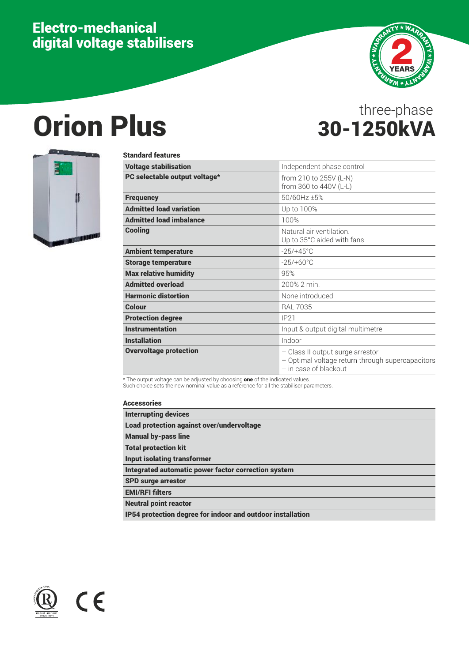## Electro-mechanical digital voltage stabilisers



## Orion Plus 30-1250kVA

# three-phase



| <b>Standard features</b>       |                                                                                                                 |
|--------------------------------|-----------------------------------------------------------------------------------------------------------------|
| <b>Voltage stabilisation</b>   | Independent phase control                                                                                       |
| PC selectable output voltage*  | from 210 to 255V (L-N)<br>from 360 to 440V (L-L)                                                                |
| <b>Frequency</b>               | 50/60Hz ±5%                                                                                                     |
| <b>Admitted load variation</b> | Up to 100%                                                                                                      |
| <b>Admitted load imbalance</b> | 100%                                                                                                            |
| <b>Cooling</b>                 | Natural air ventilation.<br>Up to 35°C aided with fans                                                          |
| <b>Ambient temperature</b>     | $-25/+45^{\circ}$ C                                                                                             |
| <b>Storage temperature</b>     | $-25/+60°C$                                                                                                     |
| <b>Max relative humidity</b>   | 95%                                                                                                             |
| <b>Admitted overload</b>       | 200% 2 min.                                                                                                     |
| <b>Harmonic distortion</b>     | None introduced                                                                                                 |
| Colour                         | <b>RAL 7035</b>                                                                                                 |
| <b>Protection degree</b>       | IP21                                                                                                            |
| <b>Instrumentation</b>         | Input & output digital multimetre                                                                               |
| <b>Installation</b>            | Indoor                                                                                                          |
| <b>Overvoltage protection</b>  | - Class II output surge arrestor<br>- Optimal voltage return through supercapacitors<br>$-$ in case of blackout |

\* The output voltage can be adjusted by choosing one of the indicated values.

Such choice sets the new nominal value as a reference for all the stabiliser parameters.

#### Accessories

| <b>Interrupting devices</b>                                |
|------------------------------------------------------------|
| Load protection against over/undervoltage                  |
| <b>Manual by-pass line</b>                                 |
| <b>Total protection kit</b>                                |
| <b>Input isolating transformer</b>                         |
| Integrated automatic power factor correction system        |
| <b>SPD surge arrestor</b>                                  |
| <b>EMI/RFI filters</b>                                     |
| <b>Neutral point reactor</b>                               |
| IP54 protection degree for indoor and outdoor installation |



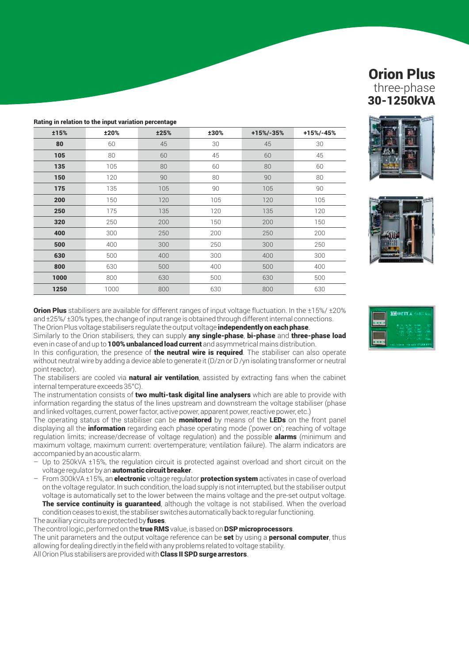|  |  |  |  | Rating in relation to the input variation percentage |
|--|--|--|--|------------------------------------------------------|
|--|--|--|--|------------------------------------------------------|

| ±15% | ±20% | ±25% | ±30% | $+15% - 35%$ | +15%/-45% |
|------|------|------|------|--------------|-----------|
| 80   | 60   | 45   | 30   | 45           | 30        |
| 105  | 80   | 60   | 45   | 60           | 45        |
| 135  | 105  | 80   | 60   | 80           | 60        |
| 150  | 120  | 90   | 80   | 90           | 80        |
| 175  | 135  | 105  | 90   | 105          | 90        |
| 200  | 150  | 120  | 105  | 120          | 105       |
| 250  | 175  | 135  | 120  | 135          | 120       |
| 320  | 250  | 200  | 150  | 200          | 150       |
| 400  | 300  | 250  | 200  | 250          | 200       |
| 500  | 400  | 300  | 250  | 300          | 250       |
| 630  | 500  | 400  | 300  | 400          | 300       |
| 800  | 630  | 500  | 400  | 500          | 400       |
| 1000 | 800  | 630  | 500  | 630          | 500       |
| 1250 | 1000 | 800  | 630  | 800          | 630       |





**Orion Plus** stabilisers are available for different ranges of input voltage fluctuation. In the  $\pm 15\% / \pm 20\%$ and ±25%/ ±30% types, the change of input range is obtained through different internal connections. The Orion Plus voltage stabilisers regulate the output voltage independently on each phase.

Similarly to the Orion stabilisers, they can supply any single-phase, bi-phase and three-phase load even in case of and up to **100% unbalanced load current** and asymmetrical mains distribution.

In this configuration, the presence of **the neutral wire is required**. The stabiliser can also operate without neutral wire by adding a device able to generate it (D/zn or D /yn isolating transformer or neutral point reactor).

The stabilisers are cooled via **natural air ventilation**, assisted by extracting fans when the cabinet internal temperature exceeds 35°C).

The instrumentation consists of two multi-task digital line analysers which are able to provide with information regarding the status of the lines upstream and downstream the voltage stabiliser (phase and linked voltages, current, power factor, active power, apparent power, reactive power, etc.)

The operating status of the stabiliser can be **monitored** by means of the LEDs on the front panel displaying all the **information** regarding each phase operating mode ('power on'; reaching of voltage regulation limits; increase/decrease of voltage regulation) and the possible **alarms** (minimum and maximum voltage, maximum current: overtemperature; ventilation failure). The alarm indicators are accompanied by an acoustic alarm.

- Up to 250kVA ±15%, the regulation circuit is protected against overload and short circuit on the voltage regulator by an **automatic circuit breaker**.
- $-$  From 300kVA  $\pm$ 15%, an **electronic** voltage regulator **protection system** activates in case of overload on the voltage regulator. In such condition, the load supply is not interrupted, but the stabiliser output voltage is automatically set to the lower between the mains voltage and the pre-set output voltage. The service continuity is quaranteed, although the voltage is not stabilised. When the overload condition ceases to exist, the stabiliser switches automatically back to regular functioning.

The auxiliary circuits are protected by fuses.

The control logic, performed on the true RMS value, is based on DSP microprocessors.

The unit parameters and the output voltage reference can be set by using a personal computer, thus allowing for dealing directly in the field with any problems related to voltage stability.

All Orion Plus stabilisers are provided with **Class II SPD surge arrestors**.

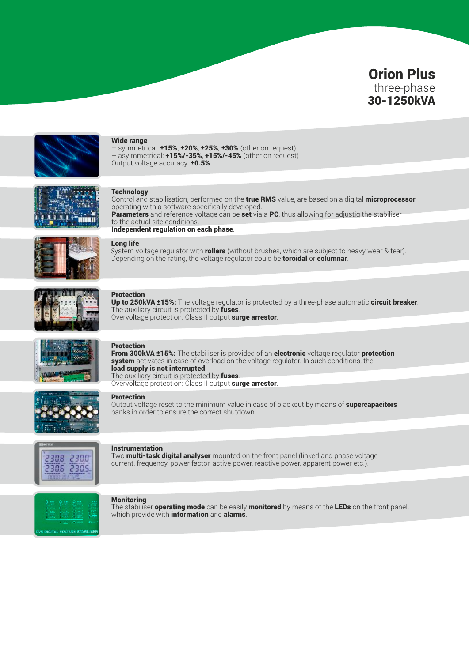



#### Wide range

– symmetrical: ±15%, ±20%, ±25%, ±30% (other on request) – asyimmetrical: +15%/-35%, +15%/-45% (other on request) Output voltage accuracy: **±0.5%**.



#### **Technology**

Control and stabilisation, performed on the true RMS value, are based on a digital microprocessor operating with a software specifically developed. Parameters and reference voltage can be set via a PC, thus allowing for adjustig the stabiliser to the actual site conditions. Independent regulation on each phase.



#### Long life

System voltage regulator with **rollers** (without brushes, which are subject to heavy wear & tear). Depending on the rating, the voltage regulator could be **toroidal** or **columnar**.



#### Protection

Up to 250kVA ±15%: The voltage regulator is protected by a three-phase automatic circuit breaker. The auxiliary circuit is protected by fuses. Overvoltage protection: Class II output surge arrestor.



#### Protection

From 300kVA ±15%: The stabiliser is provided of an electronic voltage regulator protection **system** activates in case of overload on the voltage regulator. In such conditions, the load supply is not interrupted. The auxiliary circuit is protected by fuses. Overvoltage protection: Class II output surge arrestor.



#### Protection

Output voltage reset to the minimum value in case of blackout by means of **supercapacitors** banks in order to ensure the correct shutdown.



#### Instrumentation

Two **multi-task digital analyser** mounted on the front panel (linked and phase voltage current, frequency, power factor, active power, reactive power, apparent power etc.).



#### **Monitoring**

The stabiliser **operating mode** can be easily **monitored** by means of the LEDs on the front panel, which provide with **information** and **alarms**.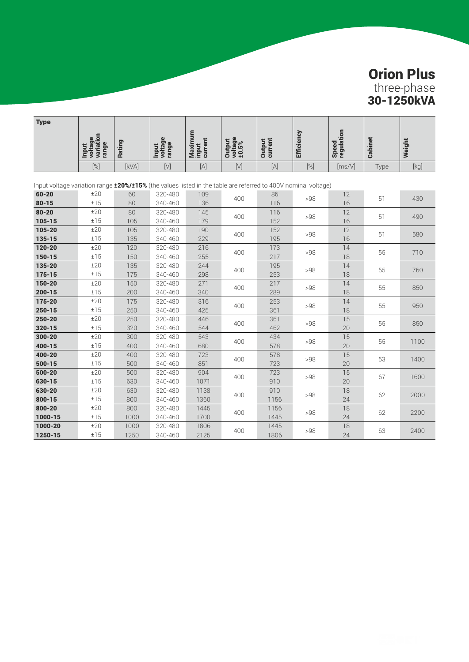| <b>Type</b>                                                                                                          |                                               |               |                                  |                             |                            |                          |                   |                     |                |        |  |
|----------------------------------------------------------------------------------------------------------------------|-----------------------------------------------|---------------|----------------------------------|-----------------------------|----------------------------|--------------------------|-------------------|---------------------|----------------|--------|--|
|                                                                                                                      | variation<br>voltage<br>range<br><b>Input</b> | <b>Rating</b> | voltage<br>range<br><b>Input</b> | Maximum<br>input<br>current | Output<br>voltage<br>±0.5% | <b>Output</b><br>current | <b>Efficiency</b> | Speed<br>regulation | <b>Cabinet</b> | Weight |  |
|                                                                                                                      | [%]                                           | [kVA]         | $[V]$                            | $[{\mathsf A}]$             | $[ \vee ]$                 | $[{\mathsf A}]$          | $[\%]$            | [ms/V]              | Type           | [kg]   |  |
| Input voltage variation range <b>±20%/±15%</b> (the values listed in the table are referred to 400V nominal voltage) |                                               |               |                                  |                             |                            |                          |                   |                     |                |        |  |
| $60 - 20$                                                                                                            | ±20                                           | 60            | 320-480                          | 109                         | 400                        | 86                       | >98               | 12                  | 51             | 430    |  |
| $80 - 15$                                                                                                            | ±15                                           | 80            | 340-460                          | 136                         |                            | 116                      |                   | 16                  |                |        |  |
| $80 - 20$                                                                                                            | ±20                                           | 80            | 320-480                          | 145                         | 400                        | 116                      | >98               | 12                  | 51             | 490    |  |
| $105 - 15$                                                                                                           | ±15                                           | 105           | 340-460                          | 179                         |                            | 152                      |                   | 16                  |                |        |  |
| 105-20                                                                                                               | ±20                                           | 105           | 320-480                          | 190                         | 400                        | 152                      | >98               | 12                  | 51             | 580    |  |
| 135-15                                                                                                               | ±15                                           | 135           | 340-460                          | 229                         |                            | 195                      |                   | 16                  |                |        |  |
| $120 - 20$                                                                                                           | ±20                                           | 120           | 320-480                          | 216                         | 400                        | 173                      | >98               | 14                  | 55             | 710    |  |
| $150 - 15$                                                                                                           | ±15                                           | 150           | 340-460                          | 255                         |                            | 217                      |                   | 18                  |                |        |  |
| 135-20                                                                                                               | ±20                                           | 135           | 320-480                          | 244                         | 400                        | 195                      | >98               | 14                  | 55             | 760    |  |
| 175-15                                                                                                               | ±15                                           | 175           | 340-460                          | 298                         |                            | 253                      |                   | 18                  |                |        |  |
| 150-20                                                                                                               | ±20                                           | 150           | 320-480                          | 271                         | 400                        | 217                      | >98               | 14                  | 55             | 850    |  |
| $200 - 15$                                                                                                           | ±15                                           | 200           | 340-460                          | 340                         |                            | 289                      |                   | 18                  |                |        |  |
| 175-20                                                                                                               | ±20                                           | 175           | 320-480                          | 316                         | 400                        | 253                      | >98               | 14                  | 55             | 950    |  |
| $250 - 15$                                                                                                           | ±15                                           | 250           | 340-460                          | 425                         |                            | 361                      |                   | 18                  |                |        |  |
| 250-20                                                                                                               | ±20                                           | 250           | 320-480                          | 446                         | 400                        | 361                      | >98               | 15                  | 55             | 850    |  |
| 320-15                                                                                                               | ±15                                           | 320           | 340-460                          | 544                         |                            | 462                      |                   | 20                  |                |        |  |
| 300-20                                                                                                               | ±20                                           | 300           | 320-480                          | 543                         | 400                        | 434                      | >98               | 15                  | 55             | 1100   |  |
| 400-15                                                                                                               | ±15                                           | 400           | 340-460                          | 680                         |                            | 578                      |                   | 20                  |                |        |  |
| 400-20                                                                                                               | ±20                                           | 400           | 320-480                          | 723                         | 400                        | 578                      | >98               | 15                  | 53             | 1400   |  |
| $500 - 15$                                                                                                           | ±15                                           | 500           | 340-460                          | 851                         |                            | 723                      |                   | 20                  |                |        |  |
| 500-20                                                                                                               | ±20                                           | 500           | 320-480                          | 904                         | 400                        | 723                      | >98               | 15                  | 67             | 1600   |  |
| 630-15                                                                                                               | ±15                                           | 630           | 340-460                          | 1071                        |                            | 910                      |                   | 20                  |                |        |  |
| 630-20                                                                                                               | ±20                                           | 630           | 320-480                          | 1138                        | 400                        | 910                      | >98               | 18                  | 62             | 2000   |  |
| $800 - 15$                                                                                                           | ±15                                           | 800           | 340-460                          | 1360                        |                            | 1156                     |                   | 24                  |                |        |  |
| 800-20                                                                                                               | ±20                                           | 800           | 320-480                          | 1445                        | 400                        | 1156                     | >98               | 18                  | 62             | 2200   |  |
| 1000-15                                                                                                              | ±15                                           | 1000          | 340-460                          | 1700                        |                            | 1445                     |                   | 24                  |                |        |  |
| 1000-20                                                                                                              | ±20                                           | 1000          | 320-480                          | 1806                        | 400                        | 1445                     | >98               | 18                  | 63             | 2400   |  |
| 1250-15                                                                                                              | ±15                                           | 1250          | 340-460                          | 2125                        |                            | 1806                     |                   | 24                  |                |        |  |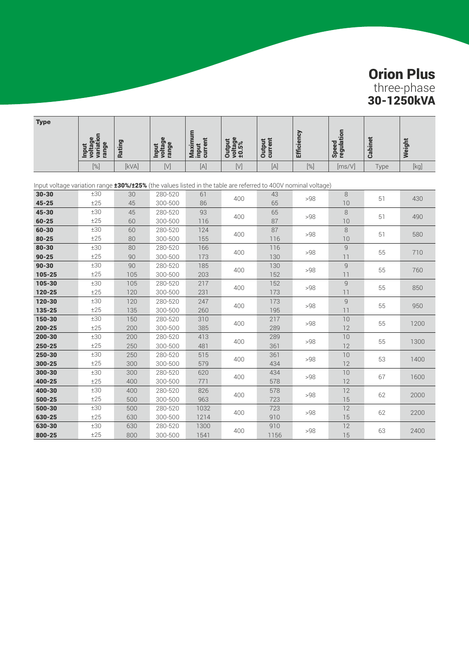| <b>Type</b>                                                                                                   |                                               |               |                                  |                             |                            |                          |                   |                                   |                |        |
|---------------------------------------------------------------------------------------------------------------|-----------------------------------------------|---------------|----------------------------------|-----------------------------|----------------------------|--------------------------|-------------------|-----------------------------------|----------------|--------|
|                                                                                                               | variation<br>voltage<br>range<br><b>Input</b> | <b>Rating</b> | voltage<br>range<br><b>Input</b> | Maximum<br>input<br>current | voltage<br>±0.5%<br>Output | <b>Output</b><br>current | <b>Efficiency</b> | Speed<br>regulation               | <b>Cabinet</b> | Weight |
|                                                                                                               | [%]                                           | [kVA]         | $[ \vee ]$                       | $[{\mathsf A}]$             | $[ \vee ]$                 | $[{\mathsf A}]$          | $[\%]$            | [ms/V]                            | Type           | [kg]   |
| Input voltage variation range 130%/125% (the values listed in the table are referred to 400V nominal voltage) |                                               |               |                                  |                             |                            |                          |                   |                                   |                |        |
| $30 - 30$                                                                                                     | ±30                                           | 30            | 280-520                          | 61                          | 400                        | 43                       | >98               | 8                                 | 51             | 430    |
| $45 - 25$                                                                                                     | ±25                                           | 45            | 300-500                          | 86                          |                            | 65                       |                   | 10                                |                |        |
| $45 - 30$                                                                                                     | ±30                                           | 45            | 280-520                          | 93                          |                            | 65                       | >98               | 8                                 | 51             | 490    |
| $60 - 25$                                                                                                     | ±25                                           | 60            | 300-500                          | 116                         | 400                        | 87                       |                   | 10                                |                |        |
| $60 - 30$                                                                                                     | ±30                                           | 60            | 280-520                          | 124                         | 400                        | 87                       | >98               | 8                                 | 51             | 580    |
| $80 - 25$                                                                                                     | ±25                                           | 80            | 300-500                          | 155                         |                            | 116                      |                   | 10                                |                |        |
| $80 - 30$                                                                                                     | $\pm 30$                                      | 80            | 280-520                          | 166                         | 400                        | 116                      | >98               | $\mathsf{g}% _{T}=\mathsf{g}_{T}$ | 55             | 710    |
| $90 - 25$                                                                                                     | ±25                                           | 90            | 300-500                          | 173                         |                            | 130                      |                   | 11                                |                |        |
| $90 - 30$                                                                                                     | ±30                                           | 90            | 280-520                          | 185                         | 400                        | 130                      | >98               | $\mathsf{G}$                      | 55             | 760    |
| 105-25                                                                                                        | ±25                                           | 105           | 300-500                          | 203                         |                            | 152                      |                   | 11                                |                |        |
| 105-30                                                                                                        | ±30                                           | 105           | 280-520                          | 217                         | 400                        | 152                      | >98               | 9                                 | 55             | 850    |
| 120-25                                                                                                        | ±25                                           | 120           | 300-500                          | 231                         |                            | 173                      |                   | 11                                |                |        |
| 120-30                                                                                                        | ±30                                           | 120           | 280-520                          | 247                         | 400                        | 173                      | >98               | 9                                 | 55             | 950    |
| 135-25                                                                                                        | ±25                                           | 135           | 300-500                          | 260                         |                            | 195                      |                   | 11                                |                |        |
| 150-30                                                                                                        | ±30                                           | 150           | 280-520                          | 310                         | 400                        | 217                      | >98               | 10                                | 55             | 1200   |
| $200 - 25$                                                                                                    | ±25                                           | 200           | 300-500                          | 385                         |                            | 289                      |                   | 12                                |                |        |
| 200-30                                                                                                        | ±30                                           | 200           | 280-520                          | 413                         | 400                        | 289                      | >98               | 10                                | 55             | 1300   |
| 250-25                                                                                                        | ±25                                           | 250           | 300-500                          | 481                         |                            | 361                      |                   | 12                                |                |        |
| 250-30                                                                                                        | ±30                                           | 250           | 280-520                          | 515                         | 400                        | 361                      | >98               | 10                                | 53             | 1400   |
| 300-25                                                                                                        | ±25                                           | 300           | 300-500                          | 579                         |                            | 434                      |                   | 12                                |                |        |
| $300 - 30$                                                                                                    | ±30                                           | 300           | 280-520                          | 620                         | 400                        | 434                      | >98               | 10                                | 67             | 1600   |
| 400-25                                                                                                        | ±25                                           | 400           | 300-500                          | 771                         |                            | 578                      |                   | 12                                |                |        |
| 400-30                                                                                                        | ±30                                           | 400           | 280-520                          | 826                         | 400                        | 578                      | >98               | 12                                | 62             | 2000   |
| 500-25                                                                                                        | ±25                                           | 500           | 300-500                          | 963                         |                            | 723                      |                   | 15                                |                |        |
| 500-30                                                                                                        | ±30                                           | 500           | 280-520                          | 1032                        | 400                        | 723                      | >98               | 12                                | 62             | 2200   |
| 630-25                                                                                                        | ±25                                           | 630           | 300-500                          | 1214                        |                            | 910                      |                   | 15                                |                |        |
| 630-30                                                                                                        | ±30                                           | 630           | 280-520                          | 1300                        | 400                        | 910                      | >98               | 12                                | 63             | 2400   |
| 800-25                                                                                                        | ±25                                           | 800           | 300-500                          | 1541                        |                            | 1156                     |                   | 15                                |                |        |